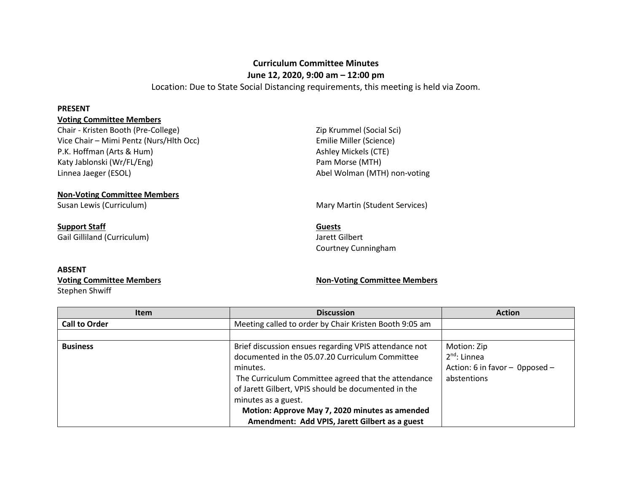# **Curriculum Committee Minutes June 12, 2020, 9:00 am – 12:00 pm**

Location: Due to State Social Distancing requirements, this meeting is held via Zoom.

#### **PRESENT**

### **Voting Committee Members**

Chair - Kristen Booth (Pre-College) **National Science Chair - Kristen Booth (Pre-College) Zip Krummel (Social Sci)** Vice Chair – Mimi Pentz (Nurs/Hlth Occ) Emilie Miller (Science) P.K. Hoffman (Arts & Hum) and Ashley Mickels (CTE) Katy Jablonski (Wr/FL/Eng) et al. (2008) Pam Morse (MTH) Linnea Jaeger (ESOL) and a set of the set of the Abel Wolman (MTH) non-voting

**Non-Voting Committee Members** 

**Support Staff Guests** Gail Gilliland (Curriculum) and Gilliland (Curriculum) Jarett Gilbert

Susan Lewis (Curriculum) and Mary Martin (Student Services) Mary Martin (Student Services)

Courtney Cunningham

#### **ABSENT**

Stephen Shwiff

## **Voting Committee Members Non-Voting Committee Members**

| <b>Item</b>          | <b>Discussion</b>                                      | <b>Action</b>                  |
|----------------------|--------------------------------------------------------|--------------------------------|
| <b>Call to Order</b> | Meeting called to order by Chair Kristen Booth 9:05 am |                                |
|                      |                                                        |                                |
| <b>Business</b>      | Brief discussion ensues regarding VPIS attendance not  | Motion: Zip                    |
|                      | documented in the 05.07.20 Curriculum Committee        | $2^{nd}$ : Linnea              |
|                      | minutes.                                               | Action: 6 in favor - Opposed - |
|                      | The Curriculum Committee agreed that the attendance    | abstentions                    |
|                      | of Jarett Gilbert, VPIS should be documented in the    |                                |
|                      | minutes as a guest.                                    |                                |
|                      | Motion: Approve May 7, 2020 minutes as amended         |                                |
|                      | Amendment: Add VPIS, Jarett Gilbert as a guest         |                                |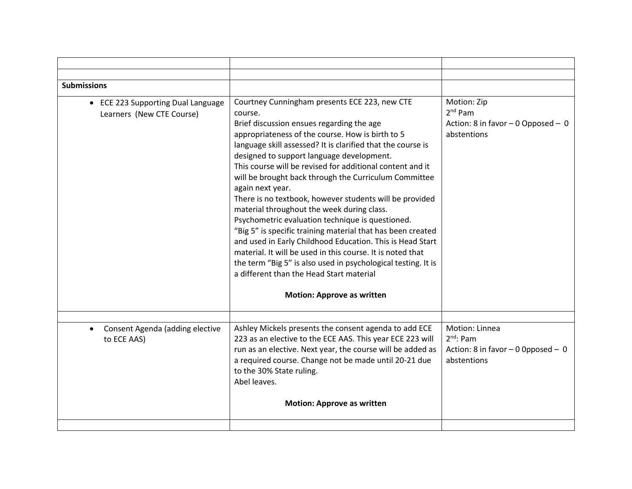| <b>Submissions</b>                                              |                                                                                                                                                                                                                                                                                                                                                                                                                                                                                                                                                                                                                                                                                                                                                                                                                                                                                                                          |                                                                                      |
|-----------------------------------------------------------------|--------------------------------------------------------------------------------------------------------------------------------------------------------------------------------------------------------------------------------------------------------------------------------------------------------------------------------------------------------------------------------------------------------------------------------------------------------------------------------------------------------------------------------------------------------------------------------------------------------------------------------------------------------------------------------------------------------------------------------------------------------------------------------------------------------------------------------------------------------------------------------------------------------------------------|--------------------------------------------------------------------------------------|
| • ECE 223 Supporting Dual Language<br>Learners (New CTE Course) | Courtney Cunningham presents ECE 223, new CTE<br>course.<br>Brief discussion ensues regarding the age<br>appropriateness of the course. How is birth to 5<br>language skill assessed? It is clarified that the course is<br>designed to support language development.<br>This course will be revised for additional content and it<br>will be brought back through the Curriculum Committee<br>again next year.<br>There is no textbook, however students will be provided<br>material throughout the week during class.<br>Psychometric evaluation technique is questioned.<br>"Big 5" is specific training material that has been created<br>and used in Early Childhood Education. This is Head Start<br>material. It will be used in this course. It is noted that<br>the term "Big 5" is also used in psychological testing. It is<br>a different than the Head Start material<br><b>Motion: Approve as written</b> | Motion: Zip<br>$2nd$ Pam<br>Action: 8 in favor $-0$ Opposed $-0$<br>abstentions      |
| Consent Agenda (adding elective<br>to ECE AAS)                  | Ashley Mickels presents the consent agenda to add ECE<br>223 as an elective to the ECE AAS. This year ECE 223 will<br>run as an elective. Next year, the course will be added as<br>a required course. Change not be made until 20-21 due<br>to the 30% State ruling.<br>Abel leaves.                                                                                                                                                                                                                                                                                                                                                                                                                                                                                                                                                                                                                                    | Motion: Linnea<br>$2nd$ : Pam<br>Action: 8 in favor $-0$ Opposed $-0$<br>abstentions |
|                                                                 | <b>Motion: Approve as written</b>                                                                                                                                                                                                                                                                                                                                                                                                                                                                                                                                                                                                                                                                                                                                                                                                                                                                                        |                                                                                      |
|                                                                 |                                                                                                                                                                                                                                                                                                                                                                                                                                                                                                                                                                                                                                                                                                                                                                                                                                                                                                                          |                                                                                      |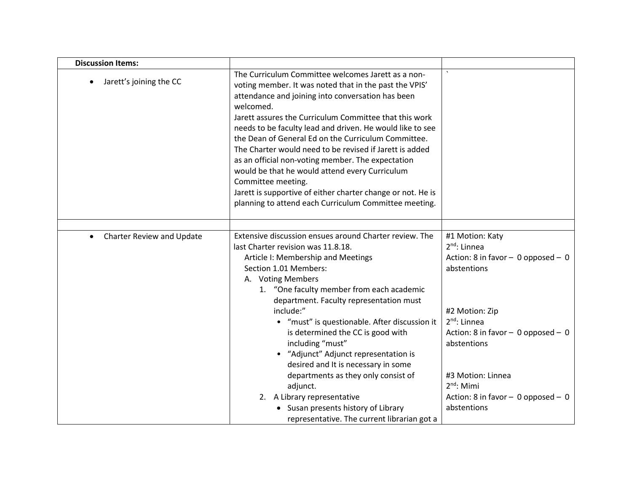| <b>Discussion Items:</b>               |                                                                                                                                                                                                                                                                                                                                                                                                                                                                                                                                                                                                                                                                              |                                                                                                     |
|----------------------------------------|------------------------------------------------------------------------------------------------------------------------------------------------------------------------------------------------------------------------------------------------------------------------------------------------------------------------------------------------------------------------------------------------------------------------------------------------------------------------------------------------------------------------------------------------------------------------------------------------------------------------------------------------------------------------------|-----------------------------------------------------------------------------------------------------|
| Jarett's joining the CC                | The Curriculum Committee welcomes Jarett as a non-<br>voting member. It was noted that in the past the VPIS'<br>attendance and joining into conversation has been<br>welcomed.<br>Jarett assures the Curriculum Committee that this work<br>needs to be faculty lead and driven. He would like to see<br>the Dean of General Ed on the Curriculum Committee.<br>The Charter would need to be revised if Jarett is added<br>as an official non-voting member. The expectation<br>would be that he would attend every Curriculum<br>Committee meeting.<br>Jarett is supportive of either charter change or not. He is<br>planning to attend each Curriculum Committee meeting. |                                                                                                     |
|                                        |                                                                                                                                                                                                                                                                                                                                                                                                                                                                                                                                                                                                                                                                              |                                                                                                     |
| Charter Review and Update<br>$\bullet$ | Extensive discussion ensues around Charter review. The<br>last Charter revision was 11.8.18.<br>Article I: Membership and Meetings<br>Section 1.01 Members:<br>A. Voting Members<br>1. "One faculty member from each academic<br>department. Faculty representation must                                                                                                                                                                                                                                                                                                                                                                                                     | #1 Motion: Katy<br>$2nd$ : Linnea<br>Action: 8 in favor - 0 opposed - 0<br>abstentions              |
|                                        | include:"<br>• "must" is questionable. After discussion it<br>is determined the CC is good with<br>including "must"                                                                                                                                                                                                                                                                                                                                                                                                                                                                                                                                                          | #2 Motion: Zip<br>2 <sup>nd</sup> : Linnea<br>Action: 8 in favor $-$ 0 opposed $-$ 0<br>abstentions |
|                                        | • "Adjunct" Adjunct representation is<br>desired and It is necessary in some<br>departments as they only consist of<br>adjunct.<br>2. A Library representative<br>• Susan presents history of Library<br>representative. The current librarian got a                                                                                                                                                                                                                                                                                                                                                                                                                         | #3 Motion: Linnea<br>$2nd$ : Mimi<br>Action: 8 in favor $-$ 0 opposed $-$ 0<br>abstentions          |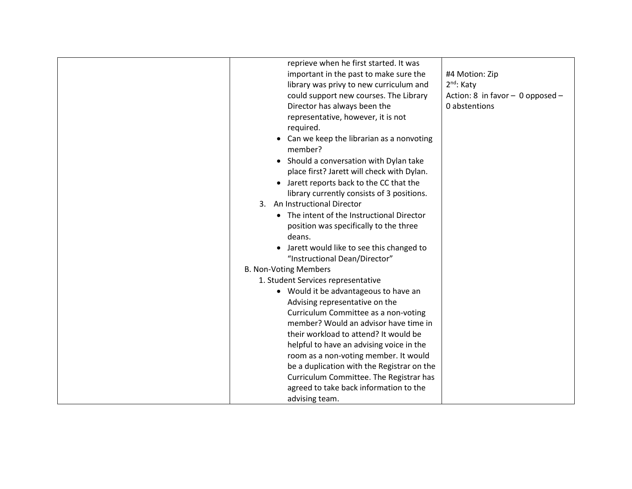| reprieve when he first started. It was<br>important in the past to make sure the<br>library was privy to new curriculum and<br>could support new courses. The Library<br>Director has always been the<br>representative, however, it is not<br>required.<br>Can we keep the librarian as a nonvoting<br>member?<br>• Should a conversation with Dylan take<br>place first? Jarett will check with Dylan.<br>Jarett reports back to the CC that the<br>library currently consists of 3 positions.<br>3. An Instructional Director<br>The intent of the Instructional Director<br>position was specifically to the three<br>deans.<br>Jarett would like to see this changed to<br>"Instructional Dean/Director"<br><b>B. Non-Voting Members</b><br>1. Student Services representative<br>• Would it be advantageous to have an<br>Advising representative on the<br>Curriculum Committee as a non-voting<br>member? Would an advisor have time in<br>their workload to attend? It would be | #4 Motion: Zip<br>2 <sup>nd</sup> : Katy<br>Action: 8 in favor $-$ 0 opposed $-$<br>0 abstentions |
|------------------------------------------------------------------------------------------------------------------------------------------------------------------------------------------------------------------------------------------------------------------------------------------------------------------------------------------------------------------------------------------------------------------------------------------------------------------------------------------------------------------------------------------------------------------------------------------------------------------------------------------------------------------------------------------------------------------------------------------------------------------------------------------------------------------------------------------------------------------------------------------------------------------------------------------------------------------------------------------|---------------------------------------------------------------------------------------------------|
| helpful to have an advising voice in the<br>room as a non-voting member. It would<br>be a duplication with the Registrar on the<br>Curriculum Committee. The Registrar has                                                                                                                                                                                                                                                                                                                                                                                                                                                                                                                                                                                                                                                                                                                                                                                                               |                                                                                                   |
| agreed to take back information to the<br>advising team.                                                                                                                                                                                                                                                                                                                                                                                                                                                                                                                                                                                                                                                                                                                                                                                                                                                                                                                                 |                                                                                                   |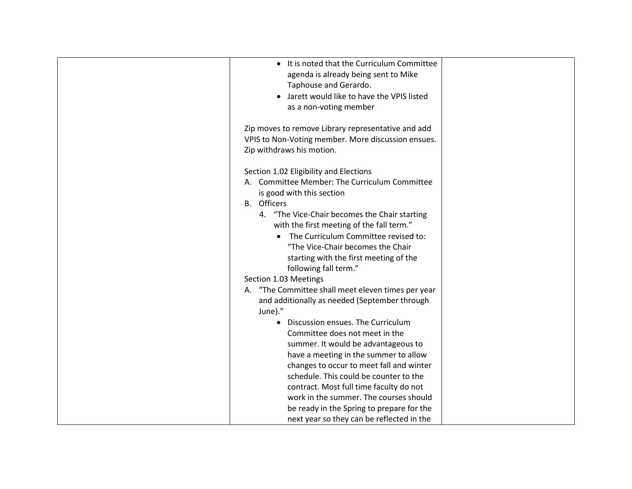| It is noted that the Curriculum Committee          |  |
|----------------------------------------------------|--|
| agenda is already being sent to Mike               |  |
| Taphouse and Gerardo.                              |  |
| Jarett would like to have the VPIS listed          |  |
| as a non-voting member                             |  |
|                                                    |  |
| Zip moves to remove Library representative and add |  |
| VPIS to Non-Voting member. More discussion ensues. |  |
| Zip withdraws his motion.                          |  |
|                                                    |  |
| Section 1.02 Eligibility and Elections             |  |
| A. Committee Member: The Curriculum Committee      |  |
| is good with this section                          |  |
| <b>B.</b> Officers                                 |  |
| 4. "The Vice-Chair becomes the Chair starting      |  |
| with the first meeting of the fall term."          |  |
| The Curriculum Committee revised to:               |  |
| "The Vice-Chair becomes the Chair                  |  |
| starting with the first meeting of the             |  |
| following fall term."                              |  |
| Section 1.03 Meetings                              |  |
| A. "The Committee shall meet eleven times per year |  |
| and additionally as needed (September through      |  |
| June)."                                            |  |
| Discussion ensues. The Curriculum                  |  |
| Committee does not meet in the                     |  |
| summer. It would be advantageous to                |  |
| have a meeting in the summer to allow              |  |
| changes to occur to meet fall and winter           |  |
| schedule. This could be counter to the             |  |
| contract. Most full time faculty do not            |  |
| work in the summer. The courses should             |  |
| be ready in the Spring to prepare for the          |  |
| next year so they can be reflected in the          |  |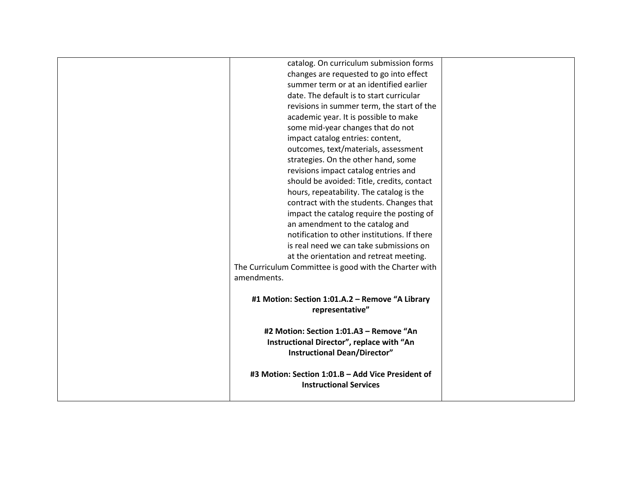| #3 Motion: Section 1:01.B - Add Vice President of<br><b>Instructional Services</b>                                          |  |
|-----------------------------------------------------------------------------------------------------------------------------|--|
| #2 Motion: Section 1:01.A3 - Remove "An<br>Instructional Director", replace with "An<br><b>Instructional Dean/Director"</b> |  |
| #1 Motion: Section 1:01.A.2 - Remove "A Library<br>representative"                                                          |  |
| amendments.                                                                                                                 |  |
| The Curriculum Committee is good with the Charter with                                                                      |  |
| at the orientation and retreat meeting.                                                                                     |  |
| is real need we can take submissions on                                                                                     |  |
| notification to other institutions. If there                                                                                |  |
| an amendment to the catalog and                                                                                             |  |
| contract with the students. Changes that<br>impact the catalog require the posting of                                       |  |
| hours, repeatability. The catalog is the                                                                                    |  |
| should be avoided: Title, credits, contact                                                                                  |  |
| revisions impact catalog entries and                                                                                        |  |
| strategies. On the other hand, some                                                                                         |  |
| outcomes, text/materials, assessment                                                                                        |  |
| impact catalog entries: content,                                                                                            |  |
| some mid-year changes that do not                                                                                           |  |
| academic year. It is possible to make                                                                                       |  |
| revisions in summer term, the start of the                                                                                  |  |
| date. The default is to start curricular                                                                                    |  |
| summer term or at an identified earlier                                                                                     |  |
| changes are requested to go into effect                                                                                     |  |
| catalog. On curriculum submission forms                                                                                     |  |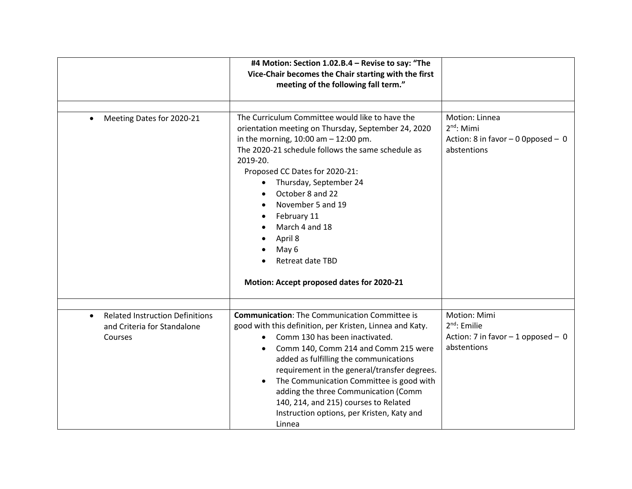|                                                                                               | #4 Motion: Section 1.02.B.4 - Revise to say: "The<br>Vice-Chair becomes the Chair starting with the first<br>meeting of the following fall term."                                                                                                                                                                                                                                                                                                                                      |                                                                                       |
|-----------------------------------------------------------------------------------------------|----------------------------------------------------------------------------------------------------------------------------------------------------------------------------------------------------------------------------------------------------------------------------------------------------------------------------------------------------------------------------------------------------------------------------------------------------------------------------------------|---------------------------------------------------------------------------------------|
|                                                                                               |                                                                                                                                                                                                                                                                                                                                                                                                                                                                                        |                                                                                       |
| Meeting Dates for 2020-21                                                                     | The Curriculum Committee would like to have the<br>orientation meeting on Thursday, September 24, 2020<br>in the morning, $10:00$ am $- 12:00$ pm.<br>The 2020-21 schedule follows the same schedule as<br>2019-20.<br>Proposed CC Dates for 2020-21:<br>Thursday, September 24<br>October 8 and 22<br>November 5 and 19<br>February 11<br>March 4 and 18<br>April 8<br>May 6<br>Retreat date TBD<br>Motion: Accept proposed dates for 2020-21                                         | Motion: Linnea<br>$2nd$ : Mimi<br>Action: 8 in favor $-0$ Opposed $-0$<br>abstentions |
| <b>Related Instruction Definitions</b><br>$\bullet$<br>and Criteria for Standalone<br>Courses | <b>Communication:</b> The Communication Committee is<br>good with this definition, per Kristen, Linnea and Katy.<br>Comm 130 has been inactivated.<br>$\bullet$<br>Comm 140, Comm 214 and Comm 215 were<br>added as fulfilling the communications<br>requirement in the general/transfer degrees.<br>The Communication Committee is good with<br>adding the three Communication (Comm<br>140, 214, and 215) courses to Related<br>Instruction options, per Kristen, Katy and<br>Linnea | Motion: Mimi<br>$2nd$ : Emilie<br>Action: 7 in favor $-1$ opposed $-0$<br>abstentions |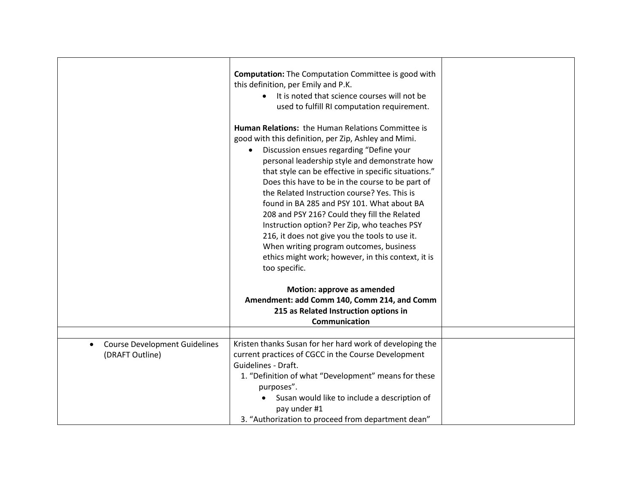|                                                                      | <b>Computation:</b> The Computation Committee is good with<br>this definition, per Emily and P.K.<br>It is noted that science courses will not be<br>used to fulfill RI computation requirement.<br><b>Human Relations: the Human Relations Committee is</b><br>good with this definition, per Zip, Ashley and Mimi.<br>Discussion ensues regarding "Define your<br>personal leadership style and demonstrate how<br>that style can be effective in specific situations."<br>Does this have to be in the course to be part of<br>the Related Instruction course? Yes. This is<br>found in BA 285 and PSY 101. What about BA<br>208 and PSY 216? Could they fill the Related<br>Instruction option? Per Zip, who teaches PSY<br>216, it does not give you the tools to use it.<br>When writing program outcomes, business<br>ethics might work; however, in this context, it is<br>too specific. |  |
|----------------------------------------------------------------------|-------------------------------------------------------------------------------------------------------------------------------------------------------------------------------------------------------------------------------------------------------------------------------------------------------------------------------------------------------------------------------------------------------------------------------------------------------------------------------------------------------------------------------------------------------------------------------------------------------------------------------------------------------------------------------------------------------------------------------------------------------------------------------------------------------------------------------------------------------------------------------------------------|--|
|                                                                      | Motion: approve as amended                                                                                                                                                                                                                                                                                                                                                                                                                                                                                                                                                                                                                                                                                                                                                                                                                                                                      |  |
|                                                                      | Amendment: add Comm 140, Comm 214, and Comm<br>215 as Related Instruction options in                                                                                                                                                                                                                                                                                                                                                                                                                                                                                                                                                                                                                                                                                                                                                                                                            |  |
|                                                                      | Communication                                                                                                                                                                                                                                                                                                                                                                                                                                                                                                                                                                                                                                                                                                                                                                                                                                                                                   |  |
|                                                                      |                                                                                                                                                                                                                                                                                                                                                                                                                                                                                                                                                                                                                                                                                                                                                                                                                                                                                                 |  |
| <b>Course Development Guidelines</b><br>$\bullet$<br>(DRAFT Outline) | Kristen thanks Susan for her hard work of developing the<br>current practices of CGCC in the Course Development                                                                                                                                                                                                                                                                                                                                                                                                                                                                                                                                                                                                                                                                                                                                                                                 |  |
|                                                                      | Guidelines - Draft.                                                                                                                                                                                                                                                                                                                                                                                                                                                                                                                                                                                                                                                                                                                                                                                                                                                                             |  |
|                                                                      | 1. "Definition of what "Development" means for these<br>purposes".                                                                                                                                                                                                                                                                                                                                                                                                                                                                                                                                                                                                                                                                                                                                                                                                                              |  |
|                                                                      | Susan would like to include a description of<br>pay under #1                                                                                                                                                                                                                                                                                                                                                                                                                                                                                                                                                                                                                                                                                                                                                                                                                                    |  |
|                                                                      | 3. "Authorization to proceed from department dean"                                                                                                                                                                                                                                                                                                                                                                                                                                                                                                                                                                                                                                                                                                                                                                                                                                              |  |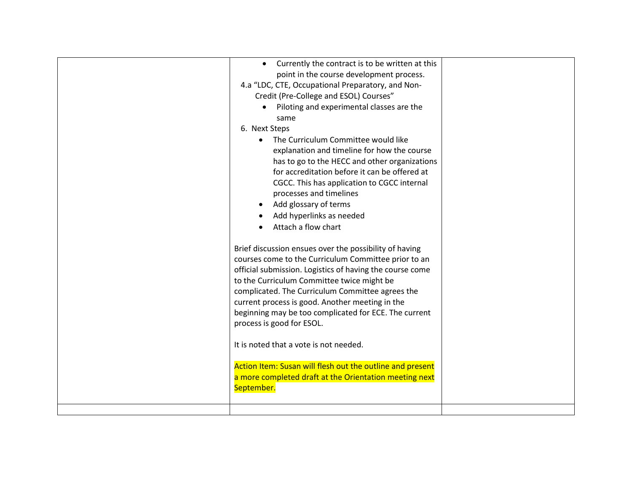| Currently the contract is to be written at this<br>point in the course development process.<br>4.a "LDC, CTE, Occupational Preparatory, and Non-<br>Credit (Pre-College and ESOL) Courses"<br>• Piloting and experimental classes are the<br>same<br>6. Next Steps<br>The Curriculum Committee would like<br>explanation and timeline for how the course<br>has to go to the HECC and other organizations<br>for accreditation before it can be offered at<br>CGCC. This has application to CGCC internal<br>processes and timelines<br>Add glossary of terms<br>Add hyperlinks as needed<br>Attach a flow chart |  |
|------------------------------------------------------------------------------------------------------------------------------------------------------------------------------------------------------------------------------------------------------------------------------------------------------------------------------------------------------------------------------------------------------------------------------------------------------------------------------------------------------------------------------------------------------------------------------------------------------------------|--|
| Brief discussion ensues over the possibility of having<br>courses come to the Curriculum Committee prior to an<br>official submission. Logistics of having the course come<br>to the Curriculum Committee twice might be<br>complicated. The Curriculum Committee agrees the<br>current process is good. Another meeting in the<br>beginning may be too complicated for ECE. The current<br>process is good for ESOL.<br>It is noted that a vote is not needed.<br>Action Item: Susan will flesh out the outline and present<br>a more completed draft at the Orientation meeting next<br>September.             |  |
|                                                                                                                                                                                                                                                                                                                                                                                                                                                                                                                                                                                                                  |  |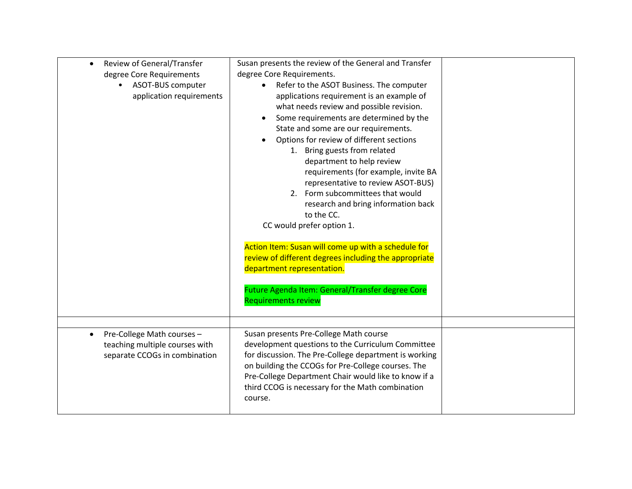| Review of General/Transfer<br>degree Core Requirements<br>ASOT-BUS computer<br>application requirements | Susan presents the review of the General and Transfer<br>degree Core Requirements.<br>Refer to the ASOT Business. The computer<br>applications requirement is an example of<br>what needs review and possible revision.<br>Some requirements are determined by the<br>$\bullet$<br>State and some are our requirements.<br>Options for review of different sections<br>$\bullet$<br>1. Bring guests from related<br>department to help review<br>requirements (for example, invite BA<br>representative to review ASOT-BUS)<br>2. Form subcommittees that would<br>research and bring information back<br>to the CC.<br>CC would prefer option 1.<br>Action Item: Susan will come up with a schedule for<br>review of different degrees including the appropriate<br>department representation.<br>Future Agenda Item: General/Transfer degree Core<br><b>Requirements review</b> |  |
|---------------------------------------------------------------------------------------------------------|-----------------------------------------------------------------------------------------------------------------------------------------------------------------------------------------------------------------------------------------------------------------------------------------------------------------------------------------------------------------------------------------------------------------------------------------------------------------------------------------------------------------------------------------------------------------------------------------------------------------------------------------------------------------------------------------------------------------------------------------------------------------------------------------------------------------------------------------------------------------------------------|--|
|                                                                                                         |                                                                                                                                                                                                                                                                                                                                                                                                                                                                                                                                                                                                                                                                                                                                                                                                                                                                                   |  |
| Pre-College Math courses -<br>teaching multiple courses with<br>separate CCOGs in combination           | Susan presents Pre-College Math course<br>development questions to the Curriculum Committee<br>for discussion. The Pre-College department is working<br>on building the CCOGs for Pre-College courses. The<br>Pre-College Department Chair would like to know if a<br>third CCOG is necessary for the Math combination<br>course.                                                                                                                                                                                                                                                                                                                                                                                                                                                                                                                                                 |  |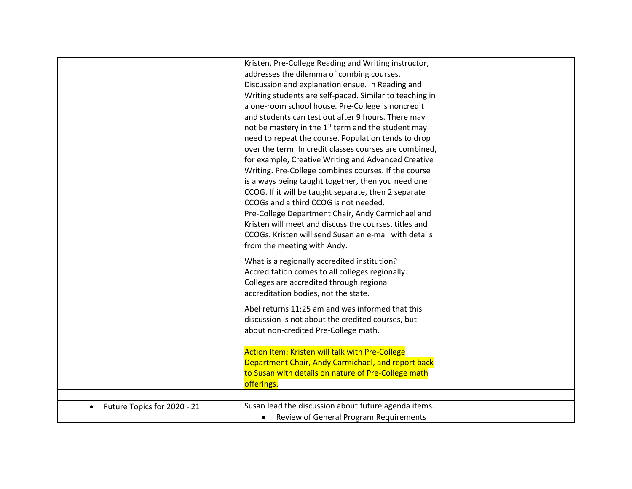|                             | Kristen, Pre-College Reading and Writing instructor,<br>addresses the dilemma of combing courses.<br>Discussion and explanation ensue. In Reading and<br>Writing students are self-paced. Similar to teaching in<br>a one-room school house. Pre-College is noncredit<br>and students can test out after 9 hours. There may<br>not be mastery in the 1 <sup>st</sup> term and the student may<br>need to repeat the course. Population tends to drop<br>over the term. In credit classes courses are combined,<br>for example, Creative Writing and Advanced Creative<br>Writing. Pre-College combines courses. If the course<br>is always being taught together, then you need one<br>CCOG. If it will be taught separate, then 2 separate<br>CCOGs and a third CCOG is not needed.<br>Pre-College Department Chair, Andy Carmichael and<br>Kristen will meet and discuss the courses, titles and<br>CCOGs. Kristen will send Susan an e-mail with details<br>from the meeting with Andy. |  |
|-----------------------------|--------------------------------------------------------------------------------------------------------------------------------------------------------------------------------------------------------------------------------------------------------------------------------------------------------------------------------------------------------------------------------------------------------------------------------------------------------------------------------------------------------------------------------------------------------------------------------------------------------------------------------------------------------------------------------------------------------------------------------------------------------------------------------------------------------------------------------------------------------------------------------------------------------------------------------------------------------------------------------------------|--|
|                             | What is a regionally accredited institution?<br>Accreditation comes to all colleges regionally.<br>Colleges are accredited through regional<br>accreditation bodies, not the state.                                                                                                                                                                                                                                                                                                                                                                                                                                                                                                                                                                                                                                                                                                                                                                                                        |  |
|                             | Abel returns 11:25 am and was informed that this<br>discussion is not about the credited courses, but<br>about non-credited Pre-College math.                                                                                                                                                                                                                                                                                                                                                                                                                                                                                                                                                                                                                                                                                                                                                                                                                                              |  |
|                             | Action Item: Kristen will talk with Pre-College<br>Department Chair, Andy Carmichael, and report back<br>to Susan with details on nature of Pre-College math<br>offerings.                                                                                                                                                                                                                                                                                                                                                                                                                                                                                                                                                                                                                                                                                                                                                                                                                 |  |
|                             |                                                                                                                                                                                                                                                                                                                                                                                                                                                                                                                                                                                                                                                                                                                                                                                                                                                                                                                                                                                            |  |
| Future Topics for 2020 - 21 | Susan lead the discussion about future agenda items.<br>Review of General Program Requirements                                                                                                                                                                                                                                                                                                                                                                                                                                                                                                                                                                                                                                                                                                                                                                                                                                                                                             |  |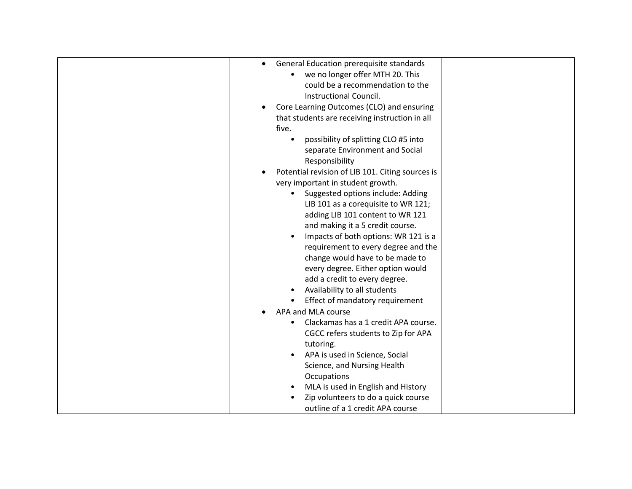| General Education prerequisite standards         |  |
|--------------------------------------------------|--|
| we no longer offer MTH 20. This                  |  |
| could be a recommendation to the                 |  |
| Instructional Council.                           |  |
| Core Learning Outcomes (CLO) and ensuring        |  |
| that students are receiving instruction in all   |  |
| five.                                            |  |
| possibility of splitting CLO #5 into             |  |
| separate Environment and Social                  |  |
| Responsibility                                   |  |
| Potential revision of LIB 101. Citing sources is |  |
| very important in student growth.                |  |
| Suggested options include: Adding                |  |
| LIB 101 as a corequisite to WR 121;              |  |
| adding LIB 101 content to WR 121                 |  |
| and making it a 5 credit course.                 |  |
| Impacts of both options: WR 121 is a             |  |
| requirement to every degree and the              |  |
| change would have to be made to                  |  |
| every degree. Either option would                |  |
| add a credit to every degree.                    |  |
| Availability to all students                     |  |
| Effect of mandatory requirement                  |  |
| APA and MLA course                               |  |
| Clackamas has a 1 credit APA course.             |  |
| CGCC refers students to Zip for APA              |  |
| tutoring.                                        |  |
| APA is used in Science, Social<br>٠              |  |
| Science, and Nursing Health                      |  |
| Occupations                                      |  |
| MLA is used in English and History               |  |
| Zip volunteers to do a quick course              |  |
| outline of a 1 credit APA course                 |  |